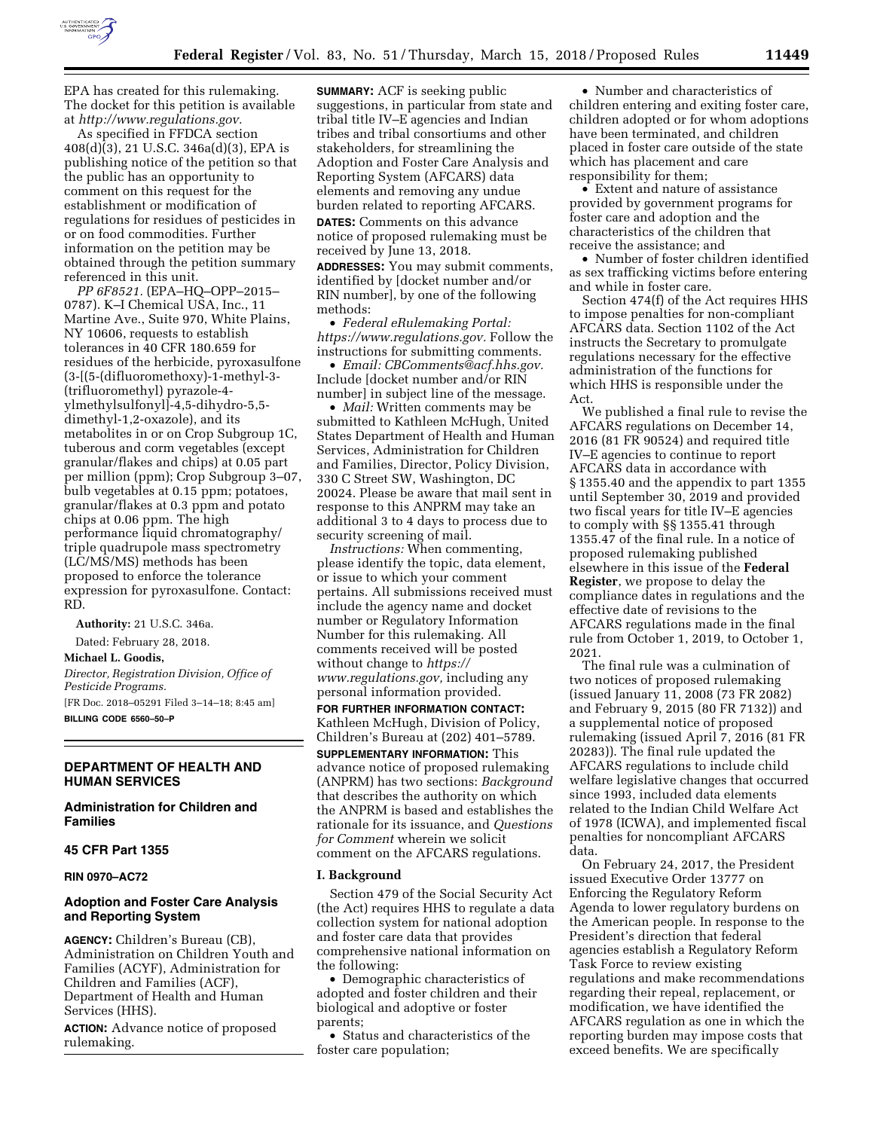

As specified in FFDCA section  $408(d)(3)$ , 21 U.S.C. 346a(d)(3), EPA is publishing notice of the petition so that the public has an opportunity to comment on this request for the establishment or modification of regulations for residues of pesticides in or on food commodities. Further information on the petition may be obtained through the petition summary referenced in this unit.

*PP 6F8521.* (EPA–HQ–OPP–2015– 0787). K–I Chemical USA, Inc., 11 Martine Ave., Suite 970, White Plains, NY 10606, requests to establish tolerances in 40 CFR 180.659 for residues of the herbicide, pyroxasulfone (3-[(5-(difluoromethoxy)-1-methyl-3- (trifluoromethyl) pyrazole-4 ylmethylsulfonyl]-4,5-dihydro-5,5 dimethyl-1,2-oxazole), and its metabolites in or on Crop Subgroup 1C, tuberous and corm vegetables (except granular/flakes and chips) at 0.05 part per million (ppm); Crop Subgroup 3–07, bulb vegetables at 0.15 ppm; potatoes, granular/flakes at 0.3 ppm and potato chips at 0.06 ppm. The high performance liquid chromatography/ triple quadrupole mass spectrometry (LC/MS/MS) methods has been proposed to enforce the tolerance expression for pyroxasulfone. Contact: RD.

**Authority:** 21 U.S.C. 346a.

Dated: February 28, 2018.

**Michael L. Goodis,** 

*Director, Registration Division, Office of Pesticide Programs.* 

[FR Doc. 2018–05291 Filed 3–14–18; 8:45 am] **BILLING CODE 6560–50–P** 

# **DEPARTMENT OF HEALTH AND HUMAN SERVICES**

**Administration for Children and Families** 

### **45 CFR Part 1355**

**RIN 0970–AC72** 

### **Adoption and Foster Care Analysis and Reporting System**

**AGENCY:** Children's Bureau (CB), Administration on Children Youth and Families (ACYF), Administration for Children and Families (ACF), Department of Health and Human Services (HHS).

**ACTION:** Advance notice of proposed rulemaking.

**SUMMARY:** ACF is seeking public suggestions, in particular from state and tribal title IV–E agencies and Indian tribes and tribal consortiums and other stakeholders, for streamlining the Adoption and Foster Care Analysis and Reporting System (AFCARS) data elements and removing any undue burden related to reporting AFCARS.

**DATES:** Comments on this advance notice of proposed rulemaking must be received by June 13, 2018.

**ADDRESSES:** You may submit comments, identified by [docket number and/or RIN number], by one of the following methods:

• *Federal eRulemaking Portal: [https://www.regulations.gov.](https://www.regulations.gov)* Follow the instructions for submitting comments.

• *Email: [CBComments@acf.hhs.gov.](mailto:CBComments@acf.hhs.gov)*  Include [docket number and/or RIN number] in subject line of the message.

• *Mail:* Written comments may be submitted to Kathleen McHugh, United States Department of Health and Human Services, Administration for Children and Families, Director, Policy Division, 330 C Street SW, Washington, DC 20024. Please be aware that mail sent in response to this ANPRM may take an additional 3 to 4 days to process due to security screening of mail.

*Instructions:* When commenting, please identify the topic, data element, or issue to which your comment pertains. All submissions received must include the agency name and docket number or Regulatory Information Number for this rulemaking. All comments received will be posted without change to *[https://](https://www.regulations.gov) [www.regulations.gov,](https://www.regulations.gov)* including any personal information provided. **FOR FURTHER INFORMATION CONTACT:**  Kathleen McHugh, Division of Policy,

Children's Bureau at (202) 401–5789. **SUPPLEMENTARY INFORMATION:** This

advance notice of proposed rulemaking (ANPRM) has two sections: *Background*  that describes the authority on which the ANPRM is based and establishes the rationale for its issuance, and *Questions for Comment* wherein we solicit comment on the AFCARS regulations.

#### **I. Background**

Section 479 of the Social Security Act (the Act) requires HHS to regulate a data collection system for national adoption and foster care data that provides comprehensive national information on the following:

• Demographic characteristics of adopted and foster children and their biological and adoptive or foster parents;

• Status and characteristics of the foster care population;

• Number and characteristics of children entering and exiting foster care, children adopted or for whom adoptions have been terminated, and children placed in foster care outside of the state which has placement and care responsibility for them;

• Extent and nature of assistance provided by government programs for foster care and adoption and the characteristics of the children that receive the assistance; and

• Number of foster children identified as sex trafficking victims before entering and while in foster care.

Section 474(f) of the Act requires HHS to impose penalties for non-compliant AFCARS data. Section 1102 of the Act instructs the Secretary to promulgate regulations necessary for the effective administration of the functions for which HHS is responsible under the Act.

We published a final rule to revise the AFCARS regulations on December 14, 2016 (81 FR 90524) and required title IV–E agencies to continue to report AFCARS data in accordance with § 1355.40 and the appendix to part 1355 until September 30, 2019 and provided two fiscal years for title IV–E agencies to comply with §§ 1355.41 through 1355.47 of the final rule. In a notice of proposed rulemaking published elsewhere in this issue of the **Federal Register**, we propose to delay the compliance dates in regulations and the effective date of revisions to the AFCARS regulations made in the final rule from October 1, 2019, to October 1, 2021.

The final rule was a culmination of two notices of proposed rulemaking (issued January 11, 2008 (73 FR 2082) and February 9, 2015 (80 FR 7132)) and a supplemental notice of proposed rulemaking (issued April 7, 2016 (81 FR 20283)). The final rule updated the AFCARS regulations to include child welfare legislative changes that occurred since 1993, included data elements related to the Indian Child Welfare Act of 1978 (ICWA), and implemented fiscal penalties for noncompliant AFCARS data.

On February 24, 2017, the President issued Executive Order 13777 on Enforcing the Regulatory Reform Agenda to lower regulatory burdens on the American people. In response to the President's direction that federal agencies establish a Regulatory Reform Task Force to review existing regulations and make recommendations regarding their repeal, replacement, or modification, we have identified the AFCARS regulation as one in which the reporting burden may impose costs that exceed benefits. We are specifically